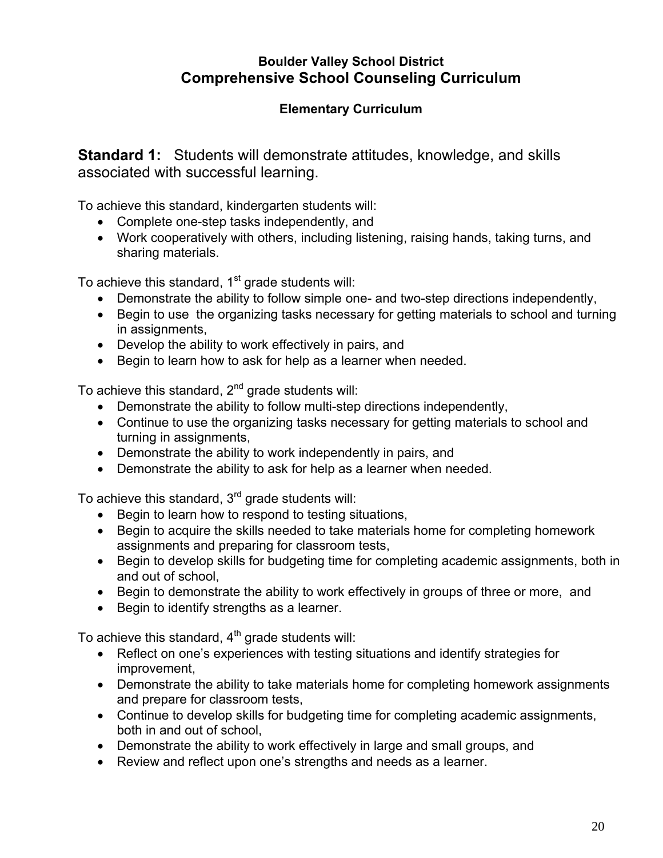## **Boulder Valley School District Comprehensive School Counseling Curriculum**

## **Elementary Curriculum**

**Standard 1:** Students will demonstrate attitudes, knowledge, and skills associated with successful learning.

To achieve this standard, kindergarten students will:

- Complete one-step tasks independently, and
- Work cooperatively with others, including listening, raising hands, taking turns, and sharing materials.

To achieve this standard,  $1<sup>st</sup>$  grade students will:

- Demonstrate the ability to follow simple one- and two-step directions independently,
- Begin to use the organizing tasks necessary for getting materials to school and turning in assignments,
- Develop the ability to work effectively in pairs, and
- Begin to learn how to ask for help as a learner when needed.

To achieve this standard, 2<sup>nd</sup> grade students will:

- Demonstrate the ability to follow multi-step directions independently,
- Continue to use the organizing tasks necessary for getting materials to school and turning in assignments,
- Demonstrate the ability to work independently in pairs, and
- Demonstrate the ability to ask for help as a learner when needed.

To achieve this standard, 3<sup>rd</sup> grade students will:

- Begin to learn how to respond to testing situations,
- Begin to acquire the skills needed to take materials home for completing homework assignments and preparing for classroom tests,
- Begin to develop skills for budgeting time for completing academic assignments, both in and out of school,
- Begin to demonstrate the ability to work effectively in groups of three or more, and
- Begin to identify strengths as a learner.

To achieve this standard,  $4<sup>th</sup>$  grade students will:

- Reflect on one's experiences with testing situations and identify strategies for improvement,
- Demonstrate the ability to take materials home for completing homework assignments and prepare for classroom tests,
- Continue to develop skills for budgeting time for completing academic assignments, both in and out of school,
- Demonstrate the ability to work effectively in large and small groups, and
- Review and reflect upon one's strengths and needs as a learner.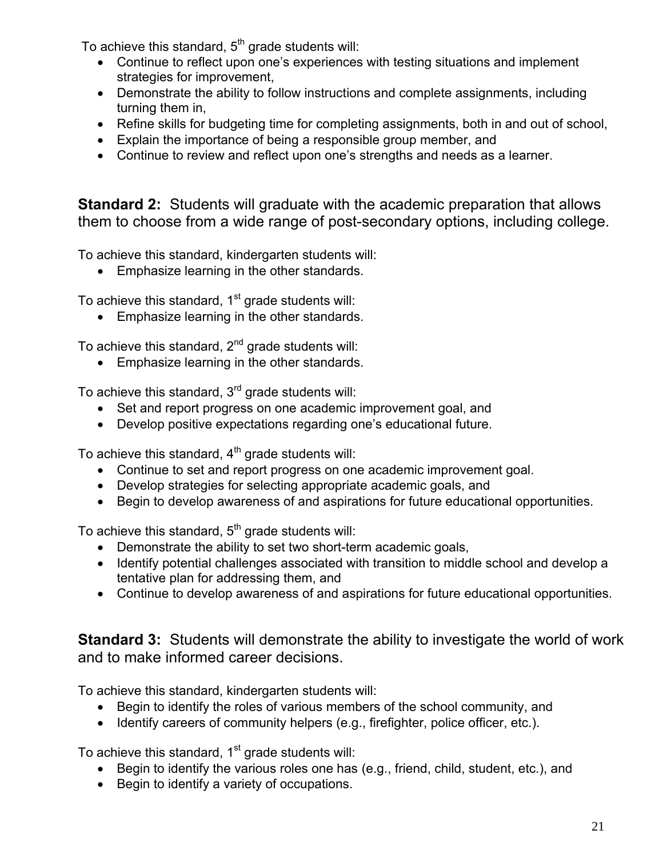To achieve this standard,  $5<sup>th</sup>$  grade students will:

- Continue to reflect upon one's experiences with testing situations and implement strategies for improvement,
- Demonstrate the ability to follow instructions and complete assignments, including turning them in,
- Refine skills for budgeting time for completing assignments, both in and out of school,
- Explain the importance of being a responsible group member, and
- Continue to review and reflect upon one's strengths and needs as a learner.

**Standard 2:** Students will graduate with the academic preparation that allows them to choose from a wide range of post-secondary options, including college.

To achieve this standard, kindergarten students will:

• Emphasize learning in the other standards.

To achieve this standard,  $1<sup>st</sup>$  grade students will:

• Emphasize learning in the other standards.

To achieve this standard,  $2<sup>nd</sup>$  grade students will:

• Emphasize learning in the other standards.

To achieve this standard,  $3<sup>rd</sup>$  grade students will:

- Set and report progress on one academic improvement goal, and
- Develop positive expectations regarding one's educational future.

To achieve this standard,  $4<sup>th</sup>$  grade students will:

- Continue to set and report progress on one academic improvement goal.
- Develop strategies for selecting appropriate academic goals, and
- Begin to develop awareness of and aspirations for future educational opportunities.

To achieve this standard,  $5<sup>th</sup>$  grade students will:

- Demonstrate the ability to set two short-term academic goals,
- Identify potential challenges associated with transition to middle school and develop a tentative plan for addressing them, and
- Continue to develop awareness of and aspirations for future educational opportunities.

**Standard 3:** Students will demonstrate the ability to investigate the world of work and to make informed career decisions.

To achieve this standard, kindergarten students will:

- Begin to identify the roles of various members of the school community, and
- Identify careers of community helpers (e.g., firefighter, police officer, etc.).

To achieve this standard,  $1<sup>st</sup>$  grade students will:

- Begin to identify the various roles one has (e.g., friend, child, student, etc.), and
- Begin to identify a variety of occupations.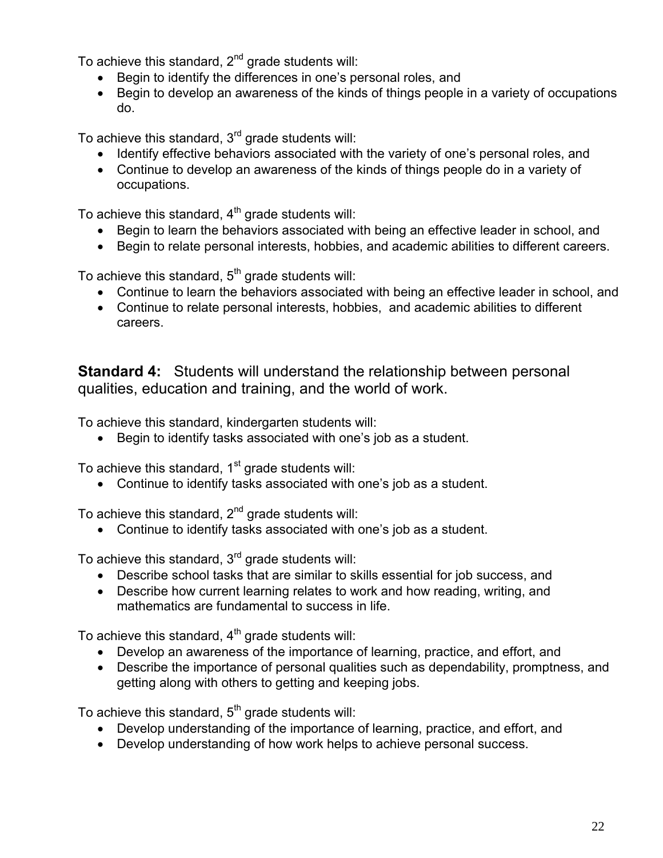To achieve this standard,  $2^{nd}$  grade students will:

- Begin to identify the differences in one's personal roles, and
- Begin to develop an awareness of the kinds of things people in a variety of occupations do.

To achieve this standard,  $3<sup>rd</sup>$  grade students will:

- Identify effective behaviors associated with the variety of one's personal roles, and
- Continue to develop an awareness of the kinds of things people do in a variety of occupations.

To achieve this standard,  $4<sup>th</sup>$  grade students will:

- Begin to learn the behaviors associated with being an effective leader in school, and
- Begin to relate personal interests, hobbies, and academic abilities to different careers.

To achieve this standard,  $5<sup>th</sup>$  grade students will:

- Continue to learn the behaviors associated with being an effective leader in school, and
- Continue to relate personal interests, hobbies, and academic abilities to different careers.

**Standard 4:** Students will understand the relationship between personal qualities, education and training, and the world of work.

To achieve this standard, kindergarten students will:

• Begin to identify tasks associated with one's job as a student.

To achieve this standard,  $1<sup>st</sup>$  grade students will:

Continue to identify tasks associated with one's job as a student.

To achieve this standard,  $2<sup>nd</sup>$  grade students will:

Continue to identify tasks associated with one's job as a student.

To achieve this standard,  $3<sup>rd</sup>$  grade students will:

- Describe school tasks that are similar to skills essential for job success, and
- Describe how current learning relates to work and how reading, writing, and mathematics are fundamental to success in life.

To achieve this standard,  $4<sup>th</sup>$  grade students will:

- Develop an awareness of the importance of learning, practice, and effort, and
- Describe the importance of personal qualities such as dependability, promptness, and getting along with others to getting and keeping jobs.

To achieve this standard,  $5<sup>th</sup>$  grade students will:

- Develop understanding of the importance of learning, practice, and effort, and
- Develop understanding of how work helps to achieve personal success.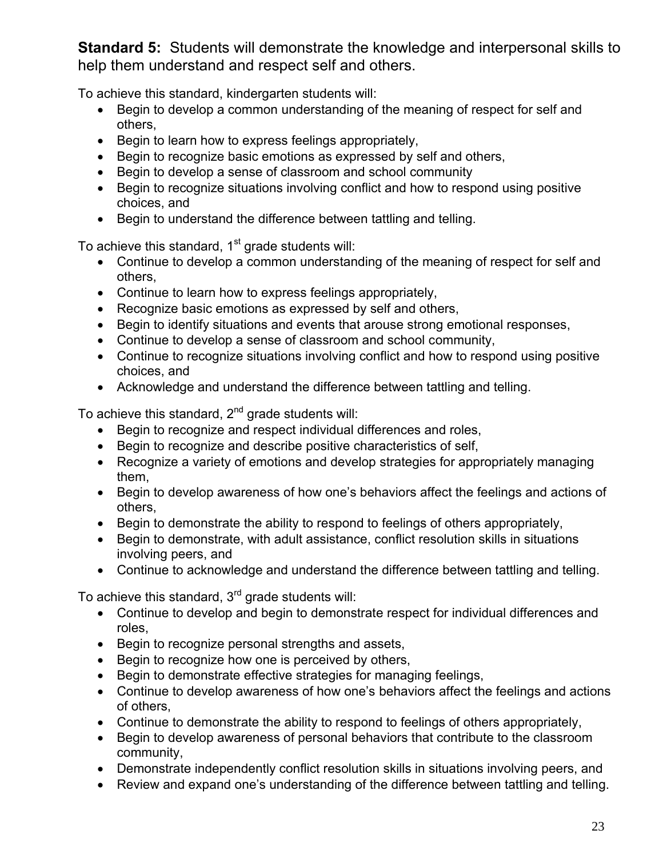**Standard 5:** Students will demonstrate the knowledge and interpersonal skills to help them understand and respect self and others.

To achieve this standard, kindergarten students will:

- Begin to develop a common understanding of the meaning of respect for self and others,
- Begin to learn how to express feelings appropriately,
- Begin to recognize basic emotions as expressed by self and others,
- Begin to develop a sense of classroom and school community
- Begin to recognize situations involving conflict and how to respond using positive choices, and
- Begin to understand the difference between tattling and telling.

To achieve this standard,  $1<sup>st</sup>$  grade students will:

- Continue to develop a common understanding of the meaning of respect for self and others,
- Continue to learn how to express feelings appropriately,
- Recognize basic emotions as expressed by self and others,
- Begin to identify situations and events that arouse strong emotional responses,
- Continue to develop a sense of classroom and school community,
- Continue to recognize situations involving conflict and how to respond using positive choices, and
- Acknowledge and understand the difference between tattling and telling.

To achieve this standard,  $2^{nd}$  grade students will:

- Begin to recognize and respect individual differences and roles,
- Begin to recognize and describe positive characteristics of self,
- Recognize a variety of emotions and develop strategies for appropriately managing them,
- Begin to develop awareness of how one's behaviors affect the feelings and actions of others,
- Begin to demonstrate the ability to respond to feelings of others appropriately,
- Begin to demonstrate, with adult assistance, conflict resolution skills in situations involving peers, and
- Continue to acknowledge and understand the difference between tattling and telling.

To achieve this standard,  $3<sup>rd</sup>$  grade students will:

- Continue to develop and begin to demonstrate respect for individual differences and roles,
- Begin to recognize personal strengths and assets,
- Begin to recognize how one is perceived by others,
- Begin to demonstrate effective strategies for managing feelings,
- Continue to develop awareness of how one's behaviors affect the feelings and actions of others,
- Continue to demonstrate the ability to respond to feelings of others appropriately,
- Begin to develop awareness of personal behaviors that contribute to the classroom community,
- Demonstrate independently conflict resolution skills in situations involving peers, and
- Review and expand one's understanding of the difference between tattling and telling.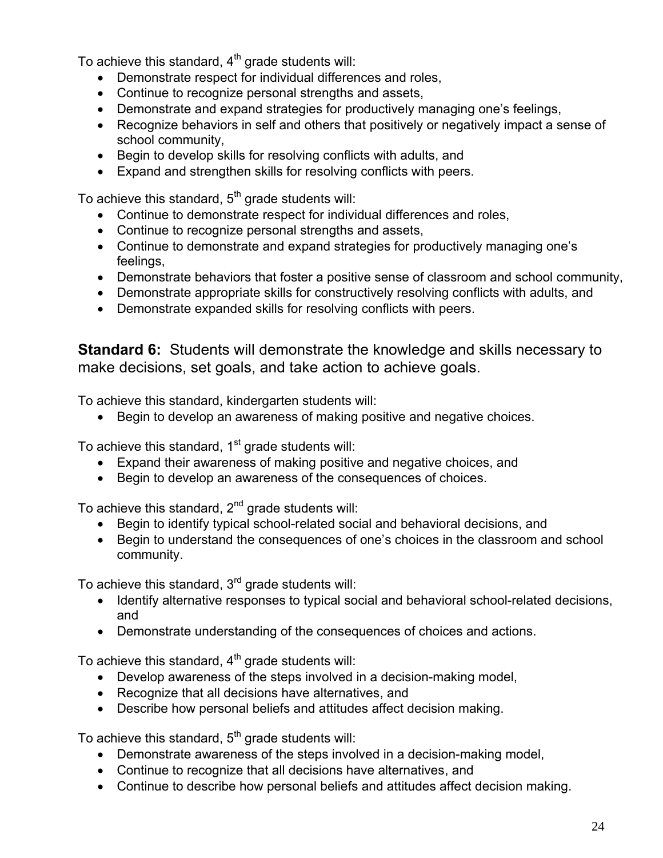To achieve this standard,  $4<sup>th</sup>$  grade students will:

- Demonstrate respect for individual differences and roles,
- Continue to recognize personal strengths and assets,
- Demonstrate and expand strategies for productively managing one's feelings,
- Recognize behaviors in self and others that positively or negatively impact a sense of school community,
- Begin to develop skills for resolving conflicts with adults, and
- Expand and strengthen skills for resolving conflicts with peers.

To achieve this standard,  $5<sup>th</sup>$  grade students will:

- Continue to demonstrate respect for individual differences and roles,
- Continue to recognize personal strengths and assets,
- Continue to demonstrate and expand strategies for productively managing one's feelings,
- Demonstrate behaviors that foster a positive sense of classroom and school community,
- Demonstrate appropriate skills for constructively resolving conflicts with adults, and
- Demonstrate expanded skills for resolving conflicts with peers.

**Standard 6:** Students will demonstrate the knowledge and skills necessary to make decisions, set goals, and take action to achieve goals.

To achieve this standard, kindergarten students will:

Begin to develop an awareness of making positive and negative choices.

To achieve this standard,  $1<sup>st</sup>$  grade students will:

- Expand their awareness of making positive and negative choices, and
- Begin to develop an awareness of the consequences of choices.

To achieve this standard,  $2^{nd}$  grade students will:

- Begin to identify typical school-related social and behavioral decisions, and
- Begin to understand the consequences of one's choices in the classroom and school community.

To achieve this standard,  $3<sup>rd</sup>$  grade students will:

- Identify alternative responses to typical social and behavioral school-related decisions, and
- Demonstrate understanding of the consequences of choices and actions.

To achieve this standard,  $4<sup>th</sup>$  grade students will:

- Develop awareness of the steps involved in a decision-making model,
- Recognize that all decisions have alternatives, and
- Describe how personal beliefs and attitudes affect decision making.

To achieve this standard,  $5<sup>th</sup>$  grade students will:

- Demonstrate awareness of the steps involved in a decision-making model,
- Continue to recognize that all decisions have alternatives, and
- Continue to describe how personal beliefs and attitudes affect decision making.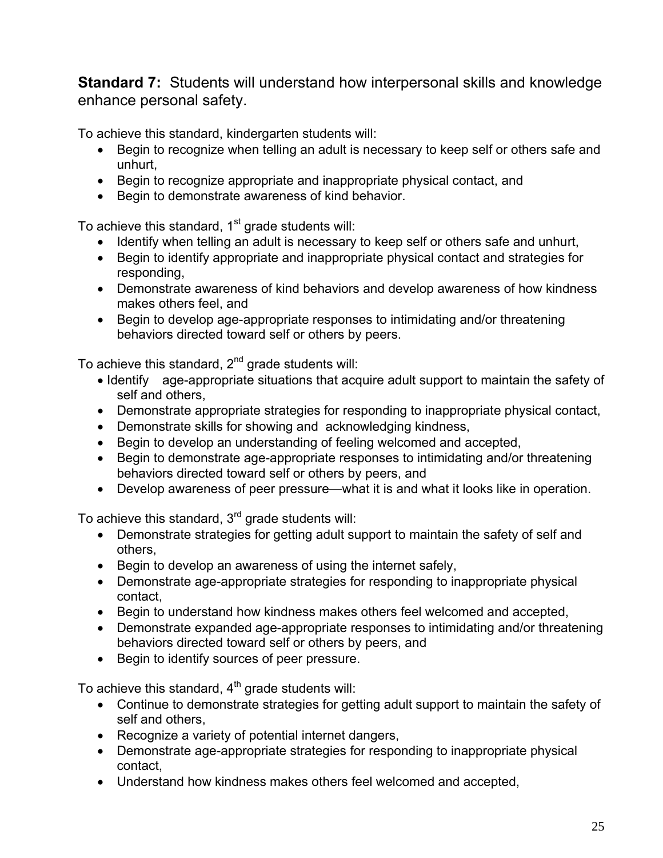**Standard 7:** Students will understand how interpersonal skills and knowledge enhance personal safety.

To achieve this standard, kindergarten students will:

- Begin to recognize when telling an adult is necessary to keep self or others safe and unhurt,
- Begin to recognize appropriate and inappropriate physical contact, and
- Begin to demonstrate awareness of kind behavior.

To achieve this standard,  $1<sup>st</sup>$  grade students will:

- Identify when telling an adult is necessary to keep self or others safe and unhurt,
- Begin to identify appropriate and inappropriate physical contact and strategies for responding,
- Demonstrate awareness of kind behaviors and develop awareness of how kindness makes others feel, and
- Begin to develop age-appropriate responses to intimidating and/or threatening behaviors directed toward self or others by peers.

To achieve this standard,  $2<sup>nd</sup>$  grade students will:

- Identify age-appropriate situations that acquire adult support to maintain the safety of self and others,
- Demonstrate appropriate strategies for responding to inappropriate physical contact,
- Demonstrate skills for showing and acknowledging kindness,
- Begin to develop an understanding of feeling welcomed and accepted,
- Begin to demonstrate age-appropriate responses to intimidating and/or threatening behaviors directed toward self or others by peers, and
- Develop awareness of peer pressure—what it is and what it looks like in operation.

To achieve this standard, 3<sup>rd</sup> grade students will:

- Demonstrate strategies for getting adult support to maintain the safety of self and others,
- Begin to develop an awareness of using the internet safely,
- Demonstrate age-appropriate strategies for responding to inappropriate physical contact,
- Begin to understand how kindness makes others feel welcomed and accepted,
- Demonstrate expanded age-appropriate responses to intimidating and/or threatening behaviors directed toward self or others by peers, and
- Begin to identify sources of peer pressure.

To achieve this standard,  $4<sup>th</sup>$  grade students will:

- Continue to demonstrate strategies for getting adult support to maintain the safety of self and others,
- Recognize a variety of potential internet dangers,
- Demonstrate age-appropriate strategies for responding to inappropriate physical contact,
- Understand how kindness makes others feel welcomed and accepted,